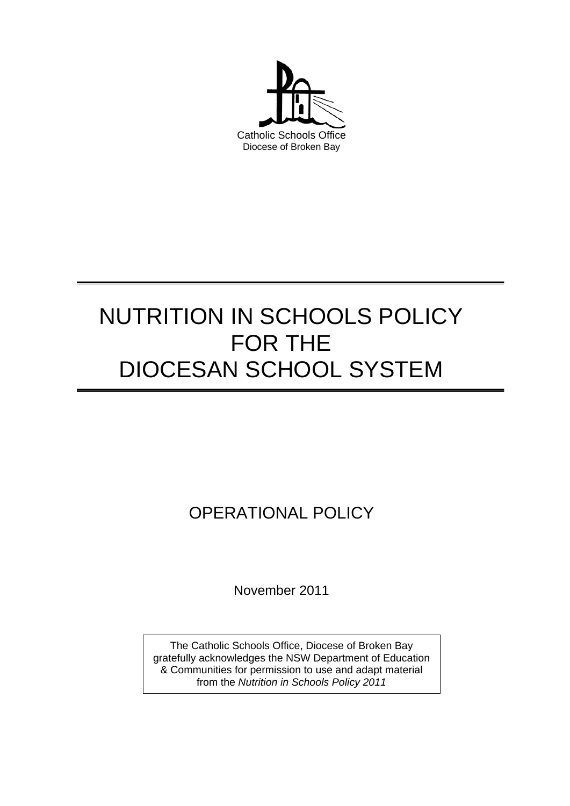

# NUTRITION IN SCHOOLS POLICY FOR THE DIOCESAN SCHOOL SYSTEM

OPERATIONAL POLICY

November 2011

The Catholic Schools Office, Diocese of Broken Bay gratefully acknowledges the NSW Department of Education & Communities for permission to use and adapt material from the *Nutrition in Schools Policy 2011*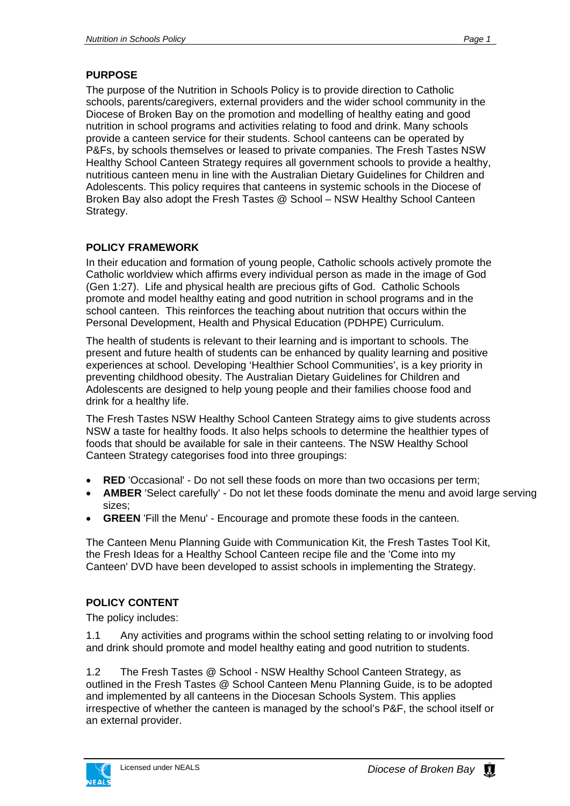#### **PURPOSE**

The purpose of the Nutrition in Schools Policy is to provide direction to Catholic schools, parents/caregivers, external providers and the wider school community in the Diocese of Broken Bay on the promotion and modelling of healthy eating and good nutrition in school programs and activities relating to food and drink. Many schools provide a canteen service for their students. School canteens can be operated by P&Fs, by schools themselves or leased to private companies. The Fresh Tastes NSW Healthy School Canteen Strategy requires all government schools to provide a healthy, nutritious canteen menu in line with the Australian Dietary Guidelines for Children and Adolescents. This policy requires that canteens in systemic schools in the Diocese of Broken Bay also adopt the Fresh Tastes @ School – NSW Healthy School Canteen Strategy.

### **POLICY FRAMEWORK**

In their education and formation of young people, Catholic schools actively promote the Catholic worldview which affirms every individual person as made in the image of God (Gen 1:27). Life and physical health are precious gifts of God. Catholic Schools promote and model healthy eating and good nutrition in school programs and in the school canteen. This reinforces the teaching about nutrition that occurs within the Personal Development, Health and Physical Education (PDHPE) Curriculum.

The health of students is relevant to their learning and is important to schools. The present and future health of students can be enhanced by quality learning and positive experiences at school. Developing 'Healthier School Communities', is a key priority in preventing childhood obesity. The Australian Dietary Guidelines for Children and Adolescents are designed to help young people and their families choose food and drink for a healthy life.

The Fresh Tastes NSW Healthy School Canteen Strategy aims to give students across NSW a taste for healthy foods. It also helps schools to determine the healthier types of foods that should be available for sale in their canteens. The NSW Healthy School Canteen Strategy categorises food into three groupings:

- **RED** 'Occasional' Do not sell these foods on more than two occasions per term;
- **AMBER** 'Select carefully' Do not let these foods dominate the menu and avoid large serving sizes;
- **GREEN** 'Fill the Menu' Encourage and promote these foods in the canteen.

The Canteen Menu Planning Guide with Communication Kit, the Fresh Tastes Tool Kit, the Fresh Ideas for a Healthy School Canteen recipe file and the 'Come into my Canteen' DVD have been developed to assist schools in implementing the Strategy.

### **POLICY CONTENT**

The policy includes:

1.1 Any activities and programs within the school setting relating to or involving food and drink should promote and model healthy eating and good nutrition to students.

1.2 The Fresh Tastes @ School - NSW Healthy School Canteen Strategy, as outlined in the Fresh Tastes @ School Canteen Menu Planning Guide, is to be adopted and implemented by all canteens in the Diocesan Schools System. This applies irrespective of whether the canteen is managed by the school's P&F, the school itself or an external provider.



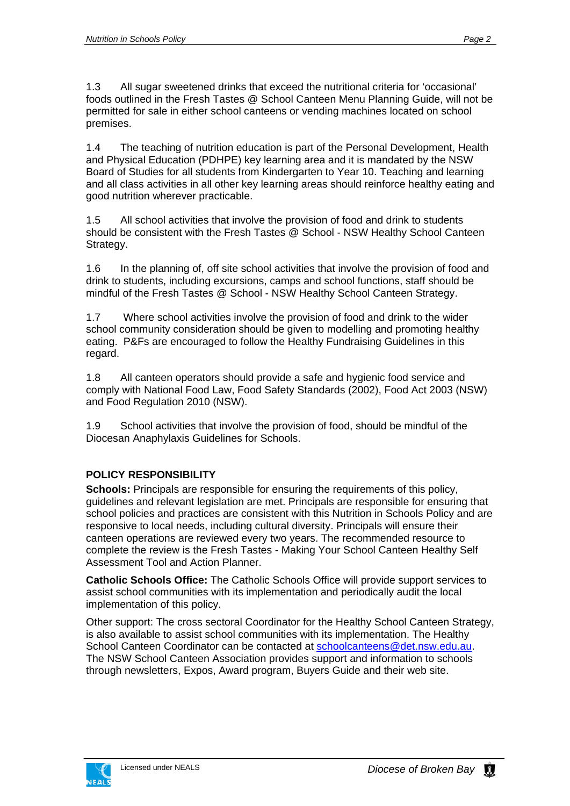1.3 All sugar sweetened drinks that exceed the nutritional criteria for 'occasional' foods outlined in the Fresh Tastes @ School Canteen Menu Planning Guide, will not be permitted for sale in either school canteens or vending machines located on school premises.

1.4 The teaching of nutrition education is part of the Personal Development, Health and Physical Education (PDHPE) key learning area and it is mandated by the NSW Board of Studies for all students from Kindergarten to Year 10. Teaching and learning and all class activities in all other key learning areas should reinforce healthy eating and good nutrition wherever practicable.

1.5 All school activities that involve the provision of food and drink to students should be consistent with the Fresh Tastes @ School - NSW Healthy School Canteen Strategy.

1.6 In the planning of, off site school activities that involve the provision of food and drink to students, including excursions, camps and school functions, staff should be mindful of the Fresh Tastes @ School - NSW Healthy School Canteen Strategy.

1.7 Where school activities involve the provision of food and drink to the wider school community consideration should be given to modelling and promoting healthy eating. P&Fs are encouraged to follow the Healthy Fundraising Guidelines in this regard.

1.8 All canteen operators should provide a safe and hygienic food service and comply with National Food Law, Food Safety Standards (2002), Food Act 2003 (NSW) and Food Regulation 2010 (NSW).

1.9 School activities that involve the provision of food, should be mindful of the Diocesan Anaphylaxis Guidelines for Schools.

## **POLICY RESPONSIBILITY**

**Schools:** Principals are responsible for ensuring the requirements of this policy, guidelines and relevant legislation are met. Principals are responsible for ensuring that school policies and practices are consistent with this Nutrition in Schools Policy and are responsive to local needs, including cultural diversity. Principals will ensure their canteen operations are reviewed every two years. The recommended resource to complete the review is the Fresh Tastes - Making Your School Canteen Healthy Self Assessment Tool and Action Planner.

**Catholic Schools Office:** The Catholic Schools Office will provide support services to assist school communities with its implementation and periodically audit the local implementation of this policy.

Other support: The cross sectoral Coordinator for the Healthy School Canteen Strategy, is also available to assist school communities with its implementation. The Healthy School Canteen Coordinator can be contacted at [schoolcanteens@det.nsw.edu.au](mailto:schoolcanteens@det.nsw.edu.au). The NSW School Canteen Association provides support and information to schools through newsletters, Expos, Award program, Buyers Guide and their web site.